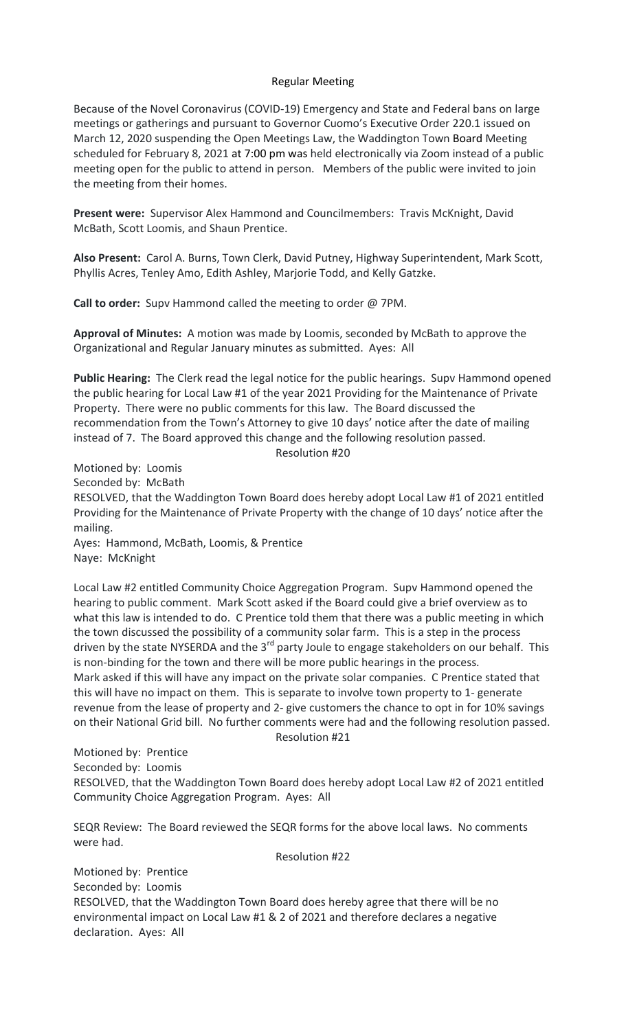## Regular Meeting

Because of the Novel Coronavirus (COVID-19) Emergency and State and Federal bans on large meetings or gatherings and pursuant to Governor Cuomo's Executive Order 220.1 issued on March 12, 2020 suspending the Open Meetings Law, the Waddington Town Board Meeting scheduled for February 8, 2021 at 7:00 pm was held electronically via Zoom instead of a public meeting open for the public to attend in person. Members of the public were invited to join the meeting from their homes.

**Present were:** Supervisor Alex Hammond and Councilmembers: Travis McKnight, David McBath, Scott Loomis, and Shaun Prentice.

**Also Present:** Carol A. Burns, Town Clerk, David Putney, Highway Superintendent, Mark Scott, Phyllis Acres, Tenley Amo, Edith Ashley, Marjorie Todd, and Kelly Gatzke.

**Call to order:** Supv Hammond called the meeting to order @ 7PM.

**Approval of Minutes:** A motion was made by Loomis, seconded by McBath to approve the Organizational and Regular January minutes as submitted. Ayes: All

**Public Hearing:** The Clerk read the legal notice for the public hearings. Supv Hammond opened the public hearing for Local Law #1 of the year 2021 Providing for the Maintenance of Private Property. There were no public comments for this law. The Board discussed the recommendation from the Town's Attorney to give 10 days' notice after the date of mailing instead of 7. The Board approved this change and the following resolution passed.

Resolution #20

Motioned by: Loomis Seconded by: McBath RESOLVED, that the Waddington Town Board does hereby adopt Local Law #1 of 2021 entitled Providing for the Maintenance of Private Property with the change of 10 days' notice after the mailing. Ayes: Hammond, McBath, Loomis, & Prentice

Naye: McKnight

Local Law #2 entitled Community Choice Aggregation Program. Supv Hammond opened the hearing to public comment. Mark Scott asked if the Board could give a brief overview as to what this law is intended to do. C Prentice told them that there was a public meeting in which the town discussed the possibility of a community solar farm. This is a step in the process driven by the state NYSERDA and the 3<sup>rd</sup> party Joule to engage stakeholders on our behalf. This is non-binding for the town and there will be more public hearings in the process. Mark asked if this will have any impact on the private solar companies. C Prentice stated that this will have no impact on them. This is separate to involve town property to 1- generate revenue from the lease of property and 2- give customers the chance to opt in for 10% savings on their National Grid bill. No further comments were had and the following resolution passed. Resolution #21

Motioned by: Prentice Seconded by: Loomis RESOLVED, that the Waddington Town Board does hereby adopt Local Law #2 of 2021 entitled Community Choice Aggregation Program. Ayes: All

SEQR Review: The Board reviewed the SEQR forms for the above local laws. No comments were had.

Resolution #22

Motioned by: Prentice Seconded by: Loomis RESOLVED, that the Waddington Town Board does hereby agree that there will be no environmental impact on Local Law #1 & 2 of 2021 and therefore declares a negative declaration. Ayes: All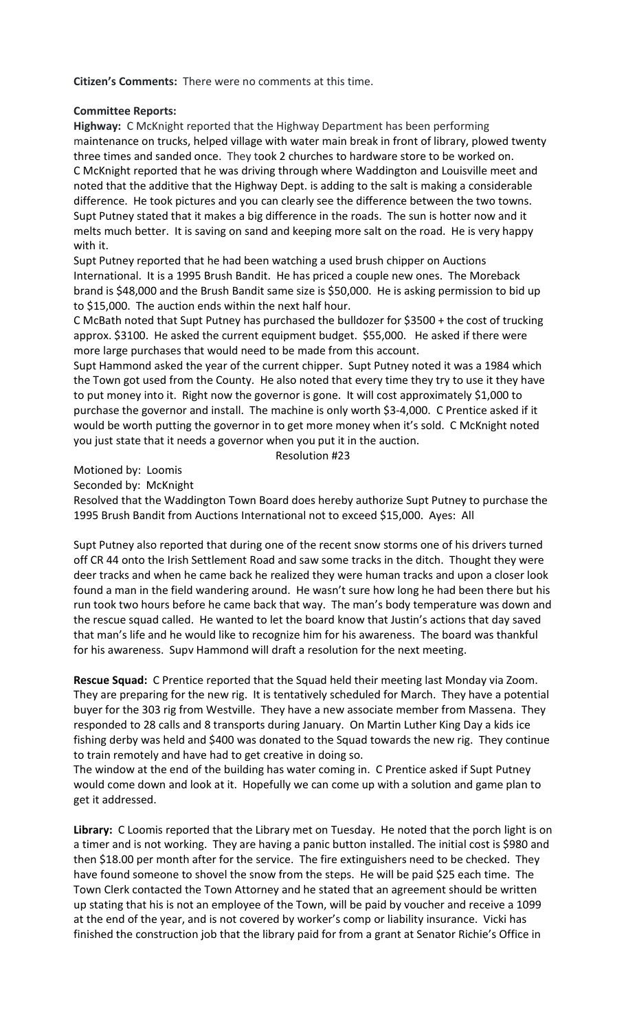**Citizen's Comments:** There were no comments at this time.

## **Committee Reports:**

**Highway:** C McKnight reported that the Highway Department has been performing maintenance on trucks, helped village with water main break in front of library, plowed twenty three times and sanded once.They took 2 churches to hardware store to be worked on. C McKnight reported that he was driving through where Waddington and Louisville meet and noted that the additive that the Highway Dept. is adding to the salt is making a considerable difference. He took pictures and you can clearly see the difference between the two towns. Supt Putney stated that it makes a big difference in the roads. The sun is hotter now and it melts much better. It is saving on sand and keeping more salt on the road. He is very happy with it.

Supt Putney reported that he had been watching a used brush chipper on Auctions International. It is a 1995 Brush Bandit. He has priced a couple new ones. The Moreback brand is \$48,000 and the Brush Bandit same size is \$50,000. He is asking permission to bid up to \$15,000. The auction ends within the next half hour.

C McBath noted that Supt Putney has purchased the bulldozer for \$3500 + the cost of trucking approx. \$3100. He asked the current equipment budget. \$55,000. He asked if there were more large purchases that would need to be made from this account.

Supt Hammond asked the year of the current chipper. Supt Putney noted it was a 1984 which the Town got used from the County. He also noted that every time they try to use it they have to put money into it. Right now the governor is gone. It will cost approximately \$1,000 to purchase the governor and install. The machine is only worth \$3-4,000. C Prentice asked if it would be worth putting the governor in to get more money when it's sold. C McKnight noted you just state that it needs a governor when you put it in the auction.

Resolution #23

Motioned by: Loomis

Seconded by: McKnight

Resolved that the Waddington Town Board does hereby authorize Supt Putney to purchase the 1995 Brush Bandit from Auctions International not to exceed \$15,000. Ayes: All

Supt Putney also reported that during one of the recent snow storms one of his drivers turned off CR 44 onto the Irish Settlement Road and saw some tracks in the ditch. Thought they were deer tracks and when he came back he realized they were human tracks and upon a closer look found a man in the field wandering around. He wasn't sure how long he had been there but his run took two hours before he came back that way. The man's body temperature was down and the rescue squad called. He wanted to let the board know that Justin's actions that day saved that man's life and he would like to recognize him for his awareness. The board was thankful for his awareness. Supv Hammond will draft a resolution for the next meeting.

**Rescue Squad:** C Prentice reported that the Squad held their meeting last Monday via Zoom. They are preparing for the new rig. It is tentatively scheduled for March. They have a potential buyer for the 303 rig from Westville. They have a new associate member from Massena. They responded to 28 calls and 8 transports during January. On Martin Luther King Day a kids ice fishing derby was held and \$400 was donated to the Squad towards the new rig. They continue to train remotely and have had to get creative in doing so.

The window at the end of the building has water coming in. C Prentice asked if Supt Putney would come down and look at it. Hopefully we can come up with a solution and game plan to get it addressed.

**Library:** C Loomis reported that the Library met on Tuesday. He noted that the porch light is on a timer and is not working. They are having a panic button installed. The initial cost is \$980 and then \$18.00 per month after for the service. The fire extinguishers need to be checked. They have found someone to shovel the snow from the steps. He will be paid \$25 each time. The Town Clerk contacted the Town Attorney and he stated that an agreement should be written up stating that his is not an employee of the Town, will be paid by voucher and receive a 1099 at the end of the year, and is not covered by worker's comp or liability insurance. Vicki has finished the construction job that the library paid for from a grant at Senator Richie's Office in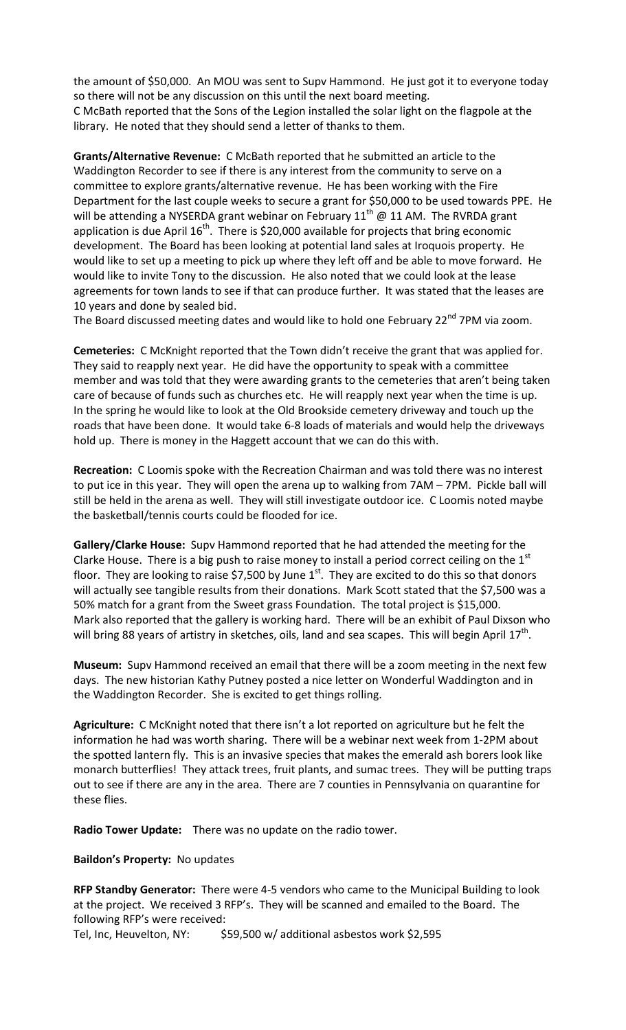the amount of \$50,000. An MOU was sent to Supv Hammond. He just got it to everyone today so there will not be any discussion on this until the next board meeting. C McBath reported that the Sons of the Legion installed the solar light on the flagpole at the library. He noted that they should send a letter of thanks to them.

**Grants/Alternative Revenue:** C McBath reported that he submitted an article to the Waddington Recorder to see if there is any interest from the community to serve on a committee to explore grants/alternative revenue. He has been working with the Fire Department for the last couple weeks to secure a grant for \$50,000 to be used towards PPE. He will be attending a NYSERDA grant webinar on February  $11^{th}$  @ 11 AM. The RVRDA grant application is due April  $16^{th}$ . There is \$20,000 available for projects that bring economic development. The Board has been looking at potential land sales at Iroquois property. He would like to set up a meeting to pick up where they left off and be able to move forward. He would like to invite Tony to the discussion. He also noted that we could look at the lease agreements for town lands to see if that can produce further. It was stated that the leases are 10 years and done by sealed bid.

The Board discussed meeting dates and would like to hold one February 22<sup>nd</sup> 7PM via zoom.

**Cemeteries:** C McKnight reported that the Town didn't receive the grant that was applied for. They said to reapply next year. He did have the opportunity to speak with a committee member and was told that they were awarding grants to the cemeteries that aren't being taken care of because of funds such as churches etc. He will reapply next year when the time is up. In the spring he would like to look at the Old Brookside cemetery driveway and touch up the roads that have been done. It would take 6-8 loads of materials and would help the driveways hold up. There is money in the Haggett account that we can do this with.

**Recreation:** C Loomis spoke with the Recreation Chairman and was told there was no interest to put ice in this year. They will open the arena up to walking from 7AM – 7PM. Pickle ball will still be held in the arena as well. They will still investigate outdoor ice. C Loomis noted maybe the basketball/tennis courts could be flooded for ice.

**Gallery/Clarke House:** Supv Hammond reported that he had attended the meeting for the Clarke House. There is a big push to raise money to install a period correct ceiling on the  $1<sup>st</sup>$ floor. They are looking to raise \$7,500 by June  $1<sup>st</sup>$ . They are excited to do this so that donors will actually see tangible results from their donations. Mark Scott stated that the \$7,500 was a 50% match for a grant from the Sweet grass Foundation. The total project is \$15,000. Mark also reported that the gallery is working hard. There will be an exhibit of Paul Dixson who will bring 88 years of artistry in sketches, oils, land and sea scapes. This will begin April  $17<sup>th</sup>$ .

**Museum:** Supv Hammond received an email that there will be a zoom meeting in the next few days. The new historian Kathy Putney posted a nice letter on Wonderful Waddington and in the Waddington Recorder. She is excited to get things rolling.

**Agriculture:** C McKnight noted that there isn't a lot reported on agriculture but he felt the information he had was worth sharing. There will be a webinar next week from 1-2PM about the spotted lantern fly. This is an invasive species that makes the emerald ash borers look like monarch butterflies! They attack trees, fruit plants, and sumac trees. They will be putting traps out to see if there are any in the area. There are 7 counties in Pennsylvania on quarantine for these flies.

**Radio Tower Update:** There was no update on the radio tower.

**Baildon's Property:** No updates

**RFP Standby Generator:** There were 4-5 vendors who came to the Municipal Building to look at the project. We received 3 RFP's. They will be scanned and emailed to the Board. The following RFP's were received:

Tel, Inc, Heuvelton, NY: \$59,500 w/ additional asbestos work \$2,595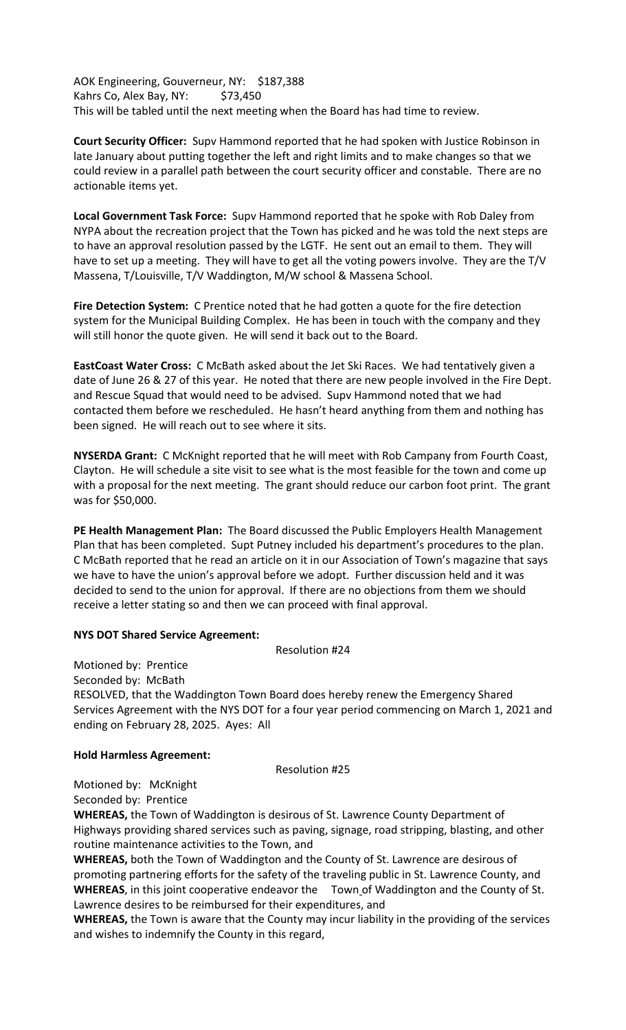AOK Engineering, Gouverneur, NY: \$187,388 Kahrs Co, Alex Bay, NY: \$73,450 This will be tabled until the next meeting when the Board has had time to review.

**Court Security Officer:** Supv Hammond reported that he had spoken with Justice Robinson in late January about putting together the left and right limits and to make changes so that we could review in a parallel path between the court security officer and constable. There are no actionable items yet.

**Local Government Task Force:** Supv Hammond reported that he spoke with Rob Daley from NYPA about the recreation project that the Town has picked and he was told the next steps are to have an approval resolution passed by the LGTF. He sent out an email to them. They will have to set up a meeting. They will have to get all the voting powers involve. They are the T/V Massena, T/Louisville, T/V Waddington, M/W school & Massena School.

**Fire Detection System:** C Prentice noted that he had gotten a quote for the fire detection system for the Municipal Building Complex. He has been in touch with the company and they will still honor the quote given. He will send it back out to the Board.

**EastCoast Water Cross:** C McBath asked about the Jet Ski Races. We had tentatively given a date of June 26 & 27 of this year. He noted that there are new people involved in the Fire Dept. and Rescue Squad that would need to be advised. Supv Hammond noted that we had contacted them before we rescheduled. He hasn't heard anything from them and nothing has been signed. He will reach out to see where it sits.

**NYSERDA Grant:** C McKnight reported that he will meet with Rob Campany from Fourth Coast, Clayton. He will schedule a site visit to see what is the most feasible for the town and come up with a proposal for the next meeting. The grant should reduce our carbon foot print. The grant was for \$50,000.

**PE Health Management Plan:** The Board discussed the Public Employers Health Management Plan that has been completed. Supt Putney included his department's procedures to the plan. C McBath reported that he read an article on it in our Association of Town's magazine that says we have to have the union's approval before we adopt. Further discussion held and it was decided to send to the union for approval. If there are no objections from them we should receive a letter stating so and then we can proceed with final approval.

## **NYS DOT Shared Service Agreement:**

Resolution #24

Motioned by: Prentice Seconded by: McBath RESOLVED, that the Waddington Town Board does hereby renew the Emergency Shared Services Agreement with the NYS DOT for a four year period commencing on March 1, 2021 and ending on February 28, 2025. Ayes: All

# **Hold Harmless Agreement:**

Resolution #25

Motioned by: McKnight Seconded by: Prentice

**WHEREAS,** the Town of Waddington is desirous of St. Lawrence County Department of Highways providing shared services such as paving, signage, road stripping, blasting, and other routine maintenance activities to the Town, and

**WHEREAS,** both the Town of Waddington and the County of St. Lawrence are desirous of promoting partnering efforts for the safety of the traveling public in St. Lawrence County, and **WHEREAS**, in this joint cooperative endeavor the Town of Waddington and the County of St. Lawrence desires to be reimbursed for their expenditures, and

**WHEREAS,** the Town is aware that the County may incur liability in the providing of the services and wishes to indemnify the County in this regard,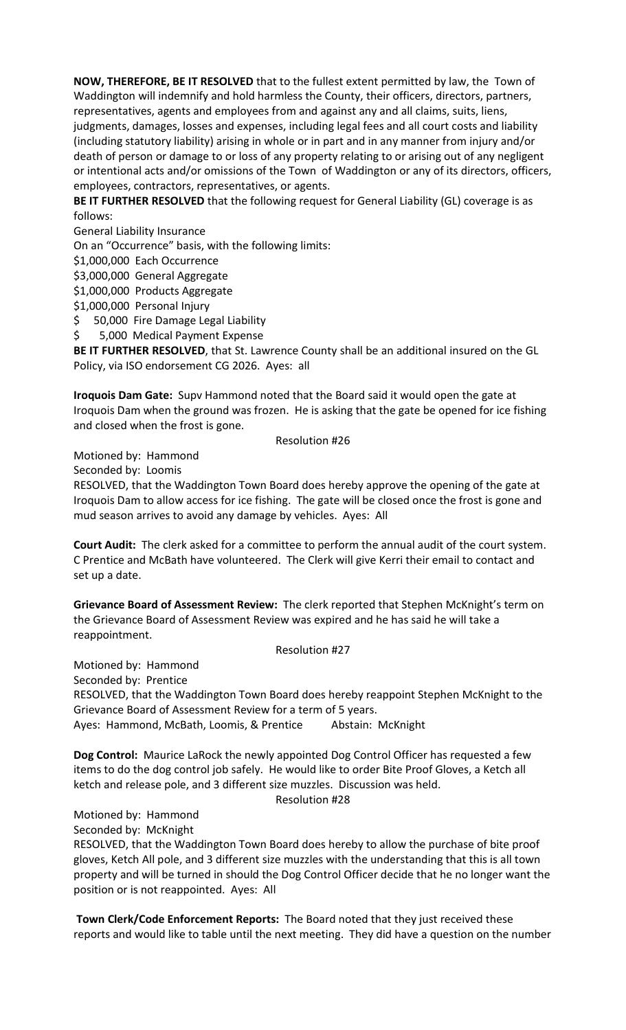**NOW, THEREFORE, BE IT RESOLVED** that to the fullest extent permitted by law, the Town of Waddington will indemnify and hold harmless the County, their officers, directors, partners, representatives, agents and employees from and against any and all claims, suits, liens, judgments, damages, losses and expenses, including legal fees and all court costs and liability (including statutory liability) arising in whole or in part and in any manner from injury and/or death of person or damage to or loss of any property relating to or arising out of any negligent or intentional acts and/or omissions of the Town of Waddington or any of its directors, officers, employees, contractors, representatives, or agents.

**BE IT FURTHER RESOLVED** that the following request for General Liability (GL) coverage is as follows:

General Liability Insurance

On an "Occurrence" basis, with the following limits:

\$1,000,000 Each Occurrence

\$3,000,000 General Aggregate

\$1,000,000 Products Aggregate

\$1,000,000 Personal Injury

\$ 50,000 Fire Damage Legal Liability

\$ 5,000 Medical Payment Expense

**BE IT FURTHER RESOLVED**, that St. Lawrence County shall be an additional insured on the GL Policy, via ISO endorsement CG 2026. Ayes: all

**Iroquois Dam Gate:** Supv Hammond noted that the Board said it would open the gate at Iroquois Dam when the ground was frozen. He is asking that the gate be opened for ice fishing and closed when the frost is gone.

#### Resolution #26

Motioned by: Hammond

Seconded by: Loomis

RESOLVED, that the Waddington Town Board does hereby approve the opening of the gate at Iroquois Dam to allow access for ice fishing. The gate will be closed once the frost is gone and mud season arrives to avoid any damage by vehicles. Ayes: All

**Court Audit:** The clerk asked for a committee to perform the annual audit of the court system. C Prentice and McBath have volunteered. The Clerk will give Kerri their email to contact and set up a date.

**Grievance Board of Assessment Review:** The clerk reported that Stephen McKnight's term on the Grievance Board of Assessment Review was expired and he has said he will take a reappointment.

Resolution #27

Motioned by: Hammond Seconded by: Prentice RESOLVED, that the Waddington Town Board does hereby reappoint Stephen McKnight to the Grievance Board of Assessment Review for a term of 5 years. Ayes: Hammond, McBath, Loomis, & Prentice Abstain: McKnight

**Dog Control:** Maurice LaRock the newly appointed Dog Control Officer has requested a few items to do the dog control job safely. He would like to order Bite Proof Gloves, a Ketch all ketch and release pole, and 3 different size muzzles. Discussion was held.

### Resolution #28

Motioned by: Hammond

Seconded by: McKnight

RESOLVED, that the Waddington Town Board does hereby to allow the purchase of bite proof gloves, Ketch All pole, and 3 different size muzzles with the understanding that this is all town property and will be turned in should the Dog Control Officer decide that he no longer want the position or is not reappointed. Ayes: All

**Town Clerk/Code Enforcement Reports:** The Board noted that they just received these reports and would like to table until the next meeting. They did have a question on the number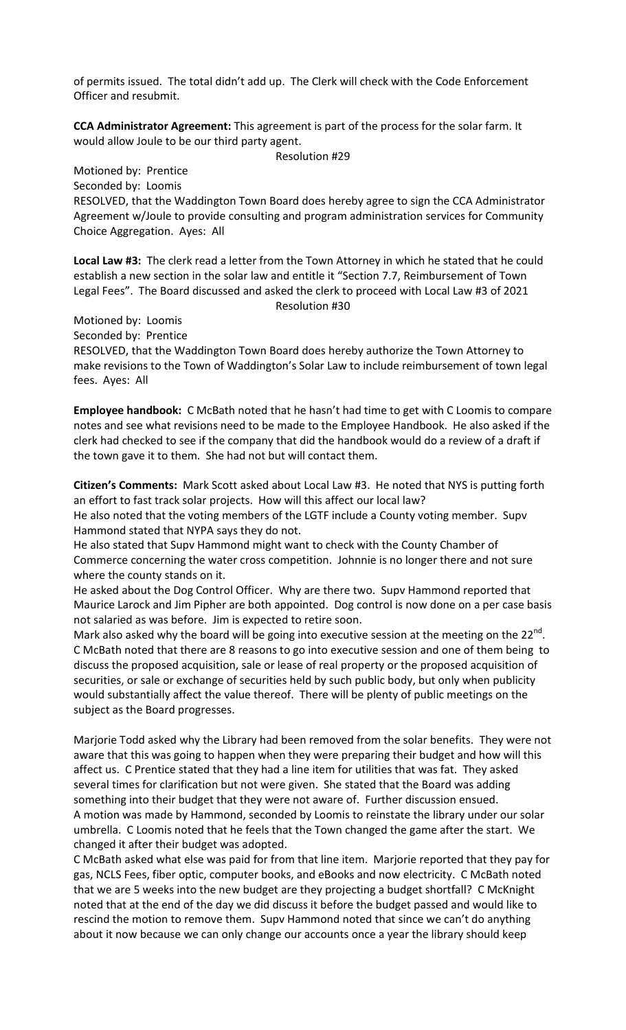of permits issued. The total didn't add up. The Clerk will check with the Code Enforcement Officer and resubmit.

**CCA Administrator Agreement:** This agreement is part of the process for the solar farm. It would allow Joule to be our third party agent.

Resolution #29

Motioned by: Prentice Seconded by: Loomis RESOLVED, that the Waddington Town Board does hereby agree to sign the CCA Administrator Agreement w/Joule to provide consulting and program administration services for Community Choice Aggregation. Ayes: All

**Local Law #3:** The clerk read a letter from the Town Attorney in which he stated that he could establish a new section in the solar law and entitle it "Section 7.7, Reimbursement of Town Legal Fees". The Board discussed and asked the clerk to proceed with Local Law #3 of 2021 Resolution #30

Motioned by: Loomis

Seconded by: Prentice

RESOLVED, that the Waddington Town Board does hereby authorize the Town Attorney to make revisions to the Town of Waddington's Solar Law to include reimbursement of town legal fees. Ayes: All

**Employee handbook:** C McBath noted that he hasn't had time to get with C Loomis to compare notes and see what revisions need to be made to the Employee Handbook. He also asked if the clerk had checked to see if the company that did the handbook would do a review of a draft if the town gave it to them. She had not but will contact them.

**Citizen's Comments:** Mark Scott asked about Local Law #3. He noted that NYS is putting forth an effort to fast track solar projects. How will this affect our local law?

He also noted that the voting members of the LGTF include a County voting member. Supv Hammond stated that NYPA says they do not.

He also stated that Supv Hammond might want to check with the County Chamber of Commerce concerning the water cross competition. Johnnie is no longer there and not sure where the county stands on it.

He asked about the Dog Control Officer. Why are there two. Supv Hammond reported that Maurice Larock and Jim Pipher are both appointed. Dog control is now done on a per case basis not salaried as was before. Jim is expected to retire soon.

Mark also asked why the board will be going into executive session at the meeting on the  $22^{nd}$ . C McBath noted that there are 8 reasons to go into executive session and one of them being to discuss the proposed acquisition, sale or lease of real property or the proposed acquisition of securities, or sale or exchange of securities held by such public body, but only when publicity would substantially affect the value thereof. There will be plenty of public meetings on the subject as the Board progresses.

Marjorie Todd asked why the Library had been removed from the solar benefits. They were not aware that this was going to happen when they were preparing their budget and how will this affect us. C Prentice stated that they had a line item for utilities that was fat. They asked several times for clarification but not were given. She stated that the Board was adding something into their budget that they were not aware of. Further discussion ensued. A motion was made by Hammond, seconded by Loomis to reinstate the library under our solar umbrella. C Loomis noted that he feels that the Town changed the game after the start. We changed it after their budget was adopted.

C McBath asked what else was paid for from that line item. Marjorie reported that they pay for gas, NCLS Fees, fiber optic, computer books, and eBooks and now electricity. C McBath noted that we are 5 weeks into the new budget are they projecting a budget shortfall? C McKnight noted that at the end of the day we did discuss it before the budget passed and would like to rescind the motion to remove them. Supv Hammond noted that since we can't do anything about it now because we can only change our accounts once a year the library should keep